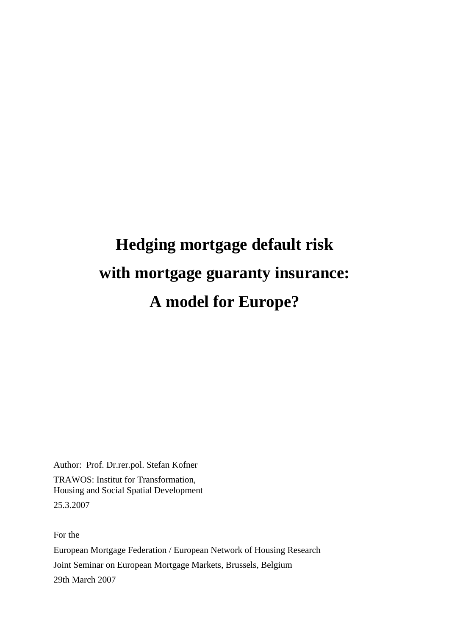# **Hedging mortgage default risk with mortgage guaranty insurance: A model for Europe?**

Author: Prof. Dr.rer.pol. Stefan Kofner TRAWOS: Institut for Transformation, Housing and Social Spatial Development 25.3.2007

For the European Mortgage Federation / European Network of Housing Research Joint Seminar on European Mortgage Markets, Brussels, Belgium 29th March 2007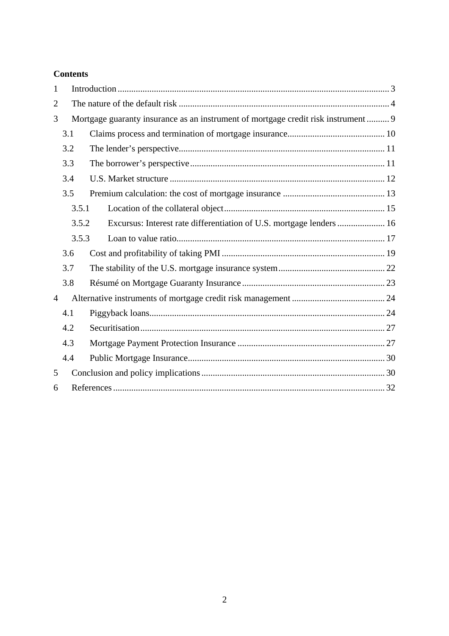## **Contents**

| 1              |                                                                                    |  |  |  |  |
|----------------|------------------------------------------------------------------------------------|--|--|--|--|
| $\overline{2}$ |                                                                                    |  |  |  |  |
| 3              | Mortgage guaranty insurance as an instrument of mortgage credit risk instrument  9 |  |  |  |  |
|                | 3.1                                                                                |  |  |  |  |
|                | 3.2                                                                                |  |  |  |  |
|                | 3.3                                                                                |  |  |  |  |
|                | 3.4                                                                                |  |  |  |  |
|                | 3.5                                                                                |  |  |  |  |
|                | 3.5.1                                                                              |  |  |  |  |
|                | Excursus: Interest rate differentiation of U.S. mortgage lenders  16<br>3.5.2      |  |  |  |  |
|                | 3.5.3                                                                              |  |  |  |  |
|                | 3.6                                                                                |  |  |  |  |
|                | 3.7                                                                                |  |  |  |  |
|                | 3.8                                                                                |  |  |  |  |
| $\overline{4}$ |                                                                                    |  |  |  |  |
|                | 4.1                                                                                |  |  |  |  |
|                | 4.2                                                                                |  |  |  |  |
|                | 4.3                                                                                |  |  |  |  |
|                | 4.4                                                                                |  |  |  |  |
| 5              |                                                                                    |  |  |  |  |
| 6              |                                                                                    |  |  |  |  |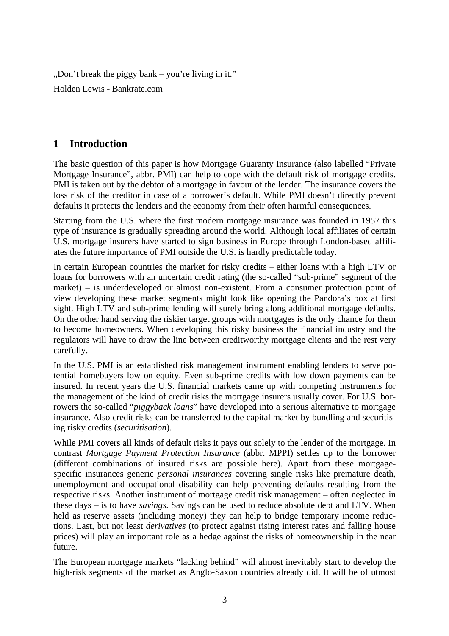$n$ , Don't break the piggy bank – you're living in it." Holden Lewis - Bankrate.com

# **1 Introduction**

The basic question of this paper is how Mortgage Guaranty Insurance (also labelled "Private Mortgage Insurance", abbr. PMI) can help to cope with the default risk of mortgage credits. PMI is taken out by the debtor of a mortgage in favour of the lender. The insurance covers the loss risk of the creditor in case of a borrower's default. While PMI doesn't directly prevent defaults it protects the lenders and the economy from their often harmful consequences.

Starting from the U.S. where the first modern mortgage insurance was founded in 1957 this type of insurance is gradually spreading around the world. Although local affiliates of certain U.S. mortgage insurers have started to sign business in Europe through London-based affiliates the future importance of PMI outside the U.S. is hardly predictable today.

In certain European countries the market for risky credits – either loans with a high LTV or loans for borrowers with an uncertain credit rating (the so-called "sub-prime" segment of the market) – is underdeveloped or almost non-existent. From a consumer protection point of view developing these market segments might look like opening the Pandora's box at first sight. High LTV and sub-prime lending will surely bring along additional mortgage defaults. On the other hand serving the riskier target groups with mortgages is the only chance for them to become homeowners. When developing this risky business the financial industry and the regulators will have to draw the line between creditworthy mortgage clients and the rest very carefully.

In the U.S. PMI is an established risk management instrument enabling lenders to serve potential homebuyers low on equity. Even sub-prime credits with low down payments can be insured. In recent years the U.S. financial markets came up with competing instruments for the management of the kind of credit risks the mortgage insurers usually cover. For U.S. borrowers the so-called "*piggyback loans*" have developed into a serious alternative to mortgage insurance. Also credit risks can be transferred to the capital market by bundling and securitising risky credits (*securitisation*).

While PMI covers all kinds of default risks it pays out solely to the lender of the mortgage. In contrast *Mortgage Payment Protection Insurance* (abbr. MPPI) settles up to the borrower (different combinations of insured risks are possible here). Apart from these mortgagespecific insurances generic *personal insurances* covering single risks like premature death, unemployment and occupational disability can help preventing defaults resulting from the respective risks. Another instrument of mortgage credit risk management – often neglected in these days – is to have *savings*. Savings can be used to reduce absolute debt and LTV. When held as reserve assets (including money) they can help to bridge temporary income reductions. Last, but not least *derivatives* (to protect against rising interest rates and falling house prices) will play an important role as a hedge against the risks of homeownership in the near future.

The European mortgage markets "lacking behind" will almost inevitably start to develop the high-risk segments of the market as Anglo-Saxon countries already did. It will be of utmost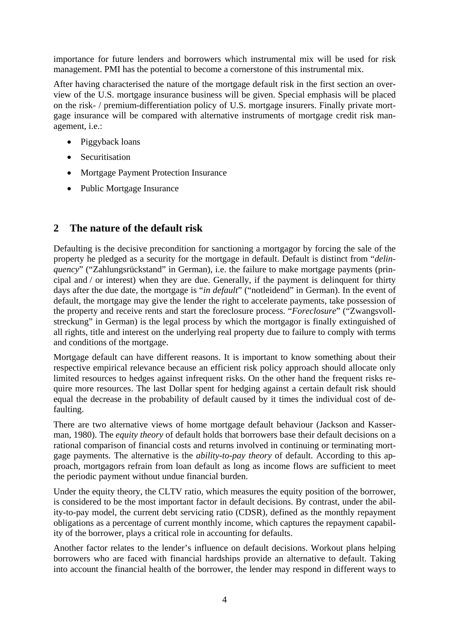importance for future lenders and borrowers which instrumental mix will be used for risk management. PMI has the potential to become a cornerstone of this instrumental mix.

After having characterised the nature of the mortgage default risk in the first section an overview of the U.S. mortgage insurance business will be given. Special emphasis will be placed on the risk- / premium-differentiation policy of U.S. mortgage insurers. Finally private mortgage insurance will be compared with alternative instruments of mortgage credit risk management, i.e.:

- Piggyback loans
- Securitisation
- Mortgage Payment Protection Insurance
- Public Mortgage Insurance

# **2 The nature of the default risk**

Defaulting is the decisive precondition for sanctioning a mortgagor by forcing the sale of the property he pledged as a security for the mortgage in default. Default is distinct from "*delinquency*" ("Zahlungsrückstand" in German), i.e. the failure to make mortgage payments (principal and / or interest) when they are due. Generally, if the payment is delinquent for thirty days after the due date, the mortgage is "*in default*" ("notleidend" in German). In the event of default, the mortgage may give the lender the right to accelerate payments, take possession of the property and receive rents and start the foreclosure process. "*Foreclosure*" ("Zwangsvollstreckung" in German) is the legal process by which the mortgagor is finally extinguished of all rights, title and interest on the underlying real property due to failure to comply with terms and conditions of the mortgage.

Mortgage default can have different reasons. It is important to know something about their respective empirical relevance because an efficient risk policy approach should allocate only limited resources to hedges against infrequent risks. On the other hand the frequent risks require more resources. The last Dollar spent for hedging against a certain default risk should equal the decrease in the probability of default caused by it times the individual cost of defaulting.

There are two alternative views of home mortgage default behaviour (Jackson and Kasserman, 1980). The *equity theory* of default holds that borrowers base their default decisions on a rational comparison of financial costs and returns involved in continuing or terminating mortgage payments. The alternative is the *ability-to-pay theory* of default. According to this approach, mortgagors refrain from loan default as long as income flows are sufficient to meet the periodic payment without undue financial burden.

Under the equity theory, the CLTV ratio, which measures the equity position of the borrower, is considered to be the most important factor in default decisions. By contrast, under the ability-to-pay model, the current debt servicing ratio (CDSR), defined as the monthly repayment obligations as a percentage of current monthly income, which captures the repayment capability of the borrower, plays a critical role in accounting for defaults.

Another factor relates to the lender's influence on default decisions. Workout plans helping borrowers who are faced with financial hardships provide an alternative to default. Taking into account the financial health of the borrower, the lender may respond in different ways to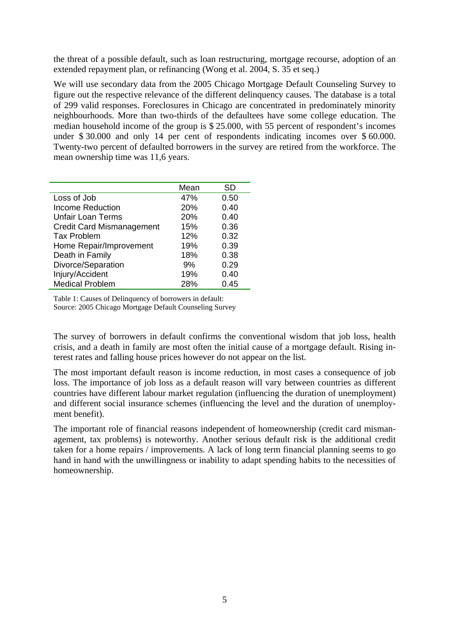the threat of a possible default, such as loan restructuring, mortgage recourse, adoption of an extended repayment plan, or refinancing (Wong et al. 2004, S. 35 et seq.)

We will use secondary data from the 2005 Chicago Mortgage Default Counseling Survey to figure out the respective relevance of the different delinquency causes. The database is a total of 299 valid responses. Foreclosures in Chicago are concentrated in predominately minority neighbourhoods. More than two-thirds of the defaultees have some college education. The median household income of the group is \$ 25.000, with 55 percent of respondent's incomes under \$ 30.000 and only 14 per cent of respondents indicating incomes over \$ 60.000. Twenty-two percent of defaulted borrowers in the survey are retired from the workforce. The mean ownership time was 11,6 years.

|                                  | Mean | SD   |
|----------------------------------|------|------|
| Loss of Job                      | 47%  | 0.50 |
| <b>Income Reduction</b>          | 20%  | 0.40 |
| <b>Unfair Loan Terms</b>         | 20%  | 0.40 |
| <b>Credit Card Mismanagement</b> | 15%  | 0.36 |
| <b>Tax Problem</b>               | 12%  | 0.32 |
| Home Repair/Improvement          | 19%  | 0.39 |
| Death in Family                  | 18%  | 0.38 |
| Divorce/Separation               | 9%   | 0.29 |
| Injury/Accident                  | 19%  | 0.40 |
| <b>Medical Problem</b>           | 28%  | 0.45 |

Table 1: Causes of Delinquency of borrowers in default: Source: 2005 Chicago Mortgage Default Counseling Survey

The survey of borrowers in default confirms the conventional wisdom that job loss, health crisis, and a death in family are most often the initial cause of a mortgage default. Rising interest rates and falling house prices however do not appear on the list.

The most important default reason is income reduction, in most cases a consequence of job loss. The importance of job loss as a default reason will vary between countries as different countries have different labour market regulation (influencing the duration of unemployment) and different social insurance schemes (influencing the level and the duration of unemployment benefit).

The important role of financial reasons independent of homeownership (credit card mismanagement, tax problems) is noteworthy. Another serious default risk is the additional credit taken for a home repairs / improvements. A lack of long term financial planning seems to go hand in hand with the unwillingness or inability to adapt spending habits to the necessities of homeownership.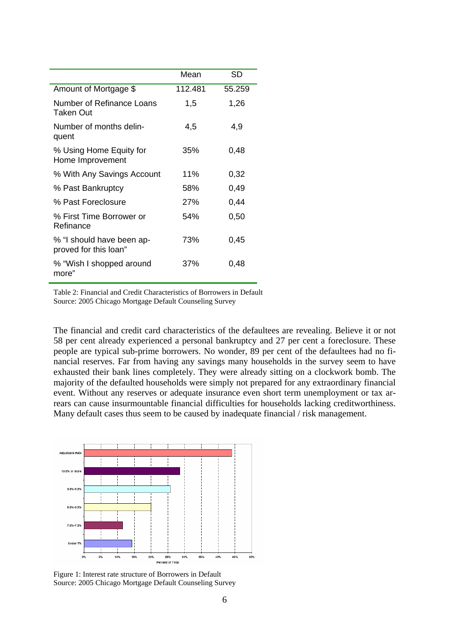|                                                    | Mean    | SD     |
|----------------------------------------------------|---------|--------|
| Amount of Mortgage \$                              | 112.481 | 55.259 |
| Number of Refinance Loans<br>Taken Out             | 1,5     | 1,26   |
| Number of months delin-<br>quent                   | 4,5     | 4,9    |
| % Using Home Equity for<br>Home Improvement        | 35%     | 0,48   |
| % With Any Savings Account                         | 11%     | 0,32   |
| % Past Bankruptcy                                  | 58%     | 0,49   |
| % Past Foreclosure                                 | 27%     | 0,44   |
| % First Time Borrower or<br>Refinance              | 54%     | 0,50   |
| % "I should have been ap-<br>proved for this loan" | 73%     | 0,45   |
| % "Wish I shopped around<br>more"                  | 37%     | 0,48   |

Table 2: Financial and Credit Characteristics of Borrowers in Default Source: 2005 Chicago Mortgage Default Counseling Survey

The financial and credit card characteristics of the defaultees are revealing. Believe it or not 58 per cent already experienced a personal bankruptcy and 27 per cent a foreclosure. These people are typical sub-prime borrowers. No wonder, 89 per cent of the defaultees had no financial reserves. Far from having any savings many households in the survey seem to have exhausted their bank lines completely. They were already sitting on a clockwork bomb. The majority of the defaulted households were simply not prepared for any extraordinary financial event. Without any reserves or adequate insurance even short term unemployment or tax arrears can cause insurmountable financial difficulties for households lacking creditworthiness. Many default cases thus seem to be caused by inadequate financial / risk management.



Figure 1: Interest rate structure of Borrowers in Default Source: 2005 Chicago Mortgage Default Counseling Survey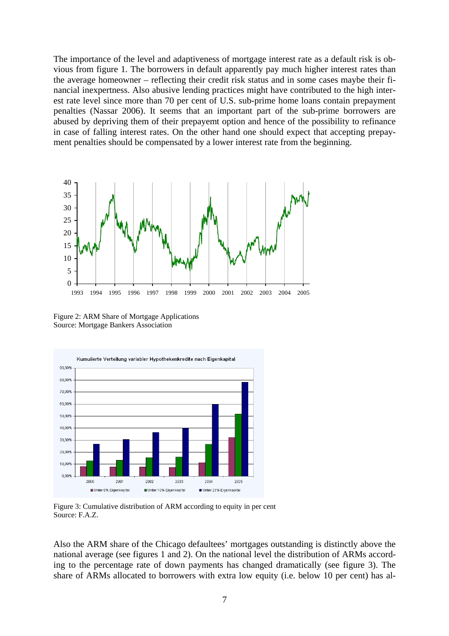The importance of the level and adaptiveness of mortgage interest rate as a default risk is obvious from figure 1. The borrowers in default apparently pay much higher interest rates than the average homeowner – reflecting their credit risk status and in some cases maybe their financial inexpertness. Also abusive lending practices might have contributed to the high interest rate level since more than 70 per cent of U.S. sub-prime home loans contain prepayment penalties (Nassar 2006). It seems that an important part of the sub-prime borrowers are abused by depriving them of their prepayemt option and hence of the possibility to refinance in case of falling interest rates. On the other hand one should expect that accepting prepayment penalties should be compensated by a lower interest rate from the beginning.



Figure 2: ARM Share of Mortgage Applications Source: Mortgage Bankers Association



Figure 3: Cumulative distribution of ARM according to equity in per cent Source: F.A.Z.

Also the ARM share of the Chicago defaultees' mortgages outstanding is distinctly above the national average (see figures 1 and 2). On the national level the distribution of ARMs according to the percentage rate of down payments has changed dramatically (see figure 3). The share of ARMs allocated to borrowers with extra low equity (i.e. below 10 per cent) has al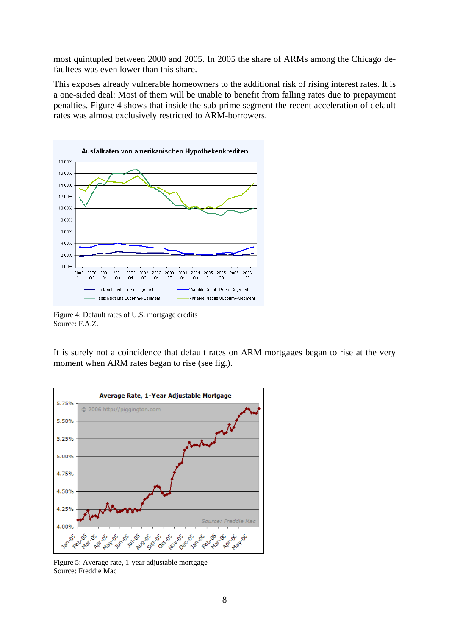most quintupled between 2000 and 2005. In 2005 the share of ARMs among the Chicago defaultees was even lower than this share.

This exposes already vulnerable homeowners to the additional risk of rising interest rates. It is a one-sided deal: Most of them will be unable to benefit from falling rates due to prepayment penalties. Figure 4 shows that inside the sub-prime segment the recent acceleration of default rates was almost exclusively restricted to ARM-borrowers.



Figure 4: Default rates of U.S. mortgage credits Source: F.A.Z.

It is surely not a coincidence that default rates on ARM mortgages began to rise at the very moment when ARM rates began to rise (see fig.).



Figure 5: Average rate, 1-year adjustable mortgage Source: Freddie Mac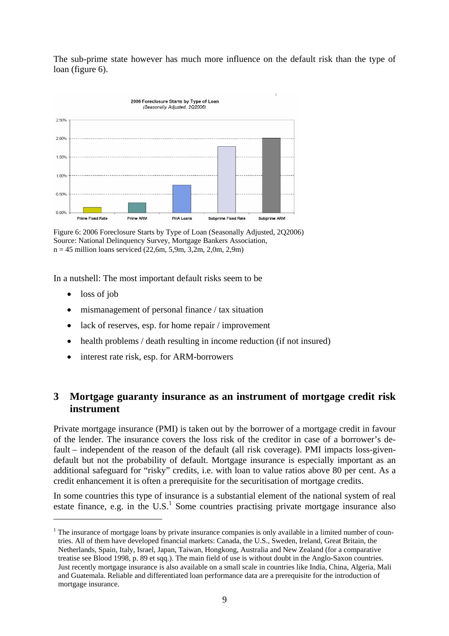The sub-prime state however has much more influence on the default risk than the type of loan (figure 6).



Figure 6: 2006 Foreclosure Starts by Type of Loan (Seasonally Adjusted, 2Q2006) Source: National Delinquency Survey, Mortgage Bankers Association,  $n = 45$  million loans serviced (22,6m, 5,9m, 3,2m, 2,0m, 2,9m)

In a nutshell: The most important default risks seem to be

• loss of job

 $\overline{a}$ 

- mismanagement of personal finance / tax situation
- lack of reserves, esp. for home repair / improvement
- health problems / death resulting in income reduction (if not insured)
- interest rate risk, esp. for ARM-borrowers

## **3 Mortgage guaranty insurance as an instrument of mortgage credit risk instrument**

Private mortgage insurance (PMI) is taken out by the borrower of a mortgage credit in favour of the lender. The insurance covers the loss risk of the creditor in case of a borrower's default – independent of the reason of the default (all risk coverage). PMI impacts loss-givendefault but not the probability of default. Mortgage insurance is especially important as an additional safeguard for "risky" credits, i.e. with loan to value ratios above 80 per cent. As a credit enhancement it is often a prerequisite for the securitisation of mortgage credits.

In some countries this type of insurance is a substantial element of the national system of real estate finance, e.g. in the  $U.S.<sup>1</sup>$  Some countries practising private mortgage insurance also

 $1$  The insurance of mortgage loans by private insurance companies is only available in a limited number of countries. All of them have developed financial markets: Canada, the U.S., Sweden, Ireland, Great Britain, the Netherlands, Spain, Italy, Israel, Japan, Taiwan, Hongkong, Australia and New Zealand (for a comparative treatise see Blood 1998, p. 89 et sqq.). The main field of use is without doubt in the Anglo-Saxon countries. Just recently mortgage insurance is also available on a small scale in countries like India, China, Algeria, Mali and Guatemala. Reliable and differentiated loan performance data are a prerequisite for the introduction of mortgage insurance.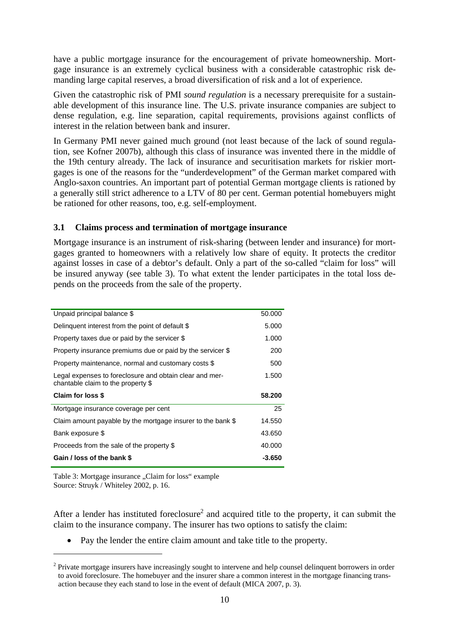have a public mortgage insurance for the encouragement of private homeownership. Mortgage insurance is an extremely cyclical business with a considerable catastrophic risk demanding large capital reserves, a broad diversification of risk and a lot of experience.

Given the catastrophic risk of PMI *sound regulation* is a necessary prerequisite for a sustainable development of this insurance line. The U.S. private insurance companies are subject to dense regulation, e.g. line separation, capital requirements, provisions against conflicts of interest in the relation between bank and insurer.

In Germany PMI never gained much ground (not least because of the lack of sound regulation, see Kofner 2007b), although this class of insurance was invented there in the middle of the 19th century already. The lack of insurance and securitisation markets for riskier mortgages is one of the reasons for the "underdevelopment" of the German market compared with Anglo-saxon countries. An important part of potential German mortgage clients is rationed by a generally still strict adherence to a LTV of 80 per cent. German potential homebuyers might be rationed for other reasons, too, e.g. self-employment.

#### **3.1 Claims process and termination of mortgage insurance**

Mortgage insurance is an instrument of risk-sharing (between lender and insurance) for mortgages granted to homeowners with a relatively low share of equity. It protects the creditor against losses in case of a debtor's default. Only a part of the so-called "claim for loss" will be insured anyway (see table 3). To what extent the lender participates in the total loss depends on the proceeds from the sale of the property.

| Unpaid principal balance \$                                                                   | 50,000 |
|-----------------------------------------------------------------------------------------------|--------|
| Delinguent interest from the point of default \$                                              | 5.000  |
| Property taxes due or paid by the servicer \$                                                 | 1.000  |
| Property insurance premiums due or paid by the servicer \$                                    | 200    |
| Property maintenance, normal and customary costs \$                                           | 500    |
| Legal expenses to foreclosure and obtain clear and mer-<br>chantable claim to the property \$ | 1.500  |
|                                                                                               |        |
| Claim for loss \$                                                                             | 58.200 |
| Mortgage insurance coverage per cent                                                          | 25     |
| Claim amount payable by the mortgage insurer to the bank \$                                   | 14.550 |
| Bank exposure \$                                                                              | 43.650 |
| Proceeds from the sale of the property \$                                                     | 40.000 |

Table 3: Mortgage insurance "Claim for loss" example Source: Struyk / Whiteley 2002, p. 16.

 $\overline{a}$ 

After a lender has instituted foreclosure<sup>2</sup> and acquired title to the property, it can submit the claim to the insurance company. The insurer has two options to satisfy the claim:

• Pay the lender the entire claim amount and take title to the property.

 $2$  Private mortgage insurers have increasingly sought to intervene and help counsel delinquent borrowers in order to avoid foreclosure. The homebuyer and the insurer share a common interest in the mortgage financing transaction because they each stand to lose in the event of default (MICA 2007, p. 3).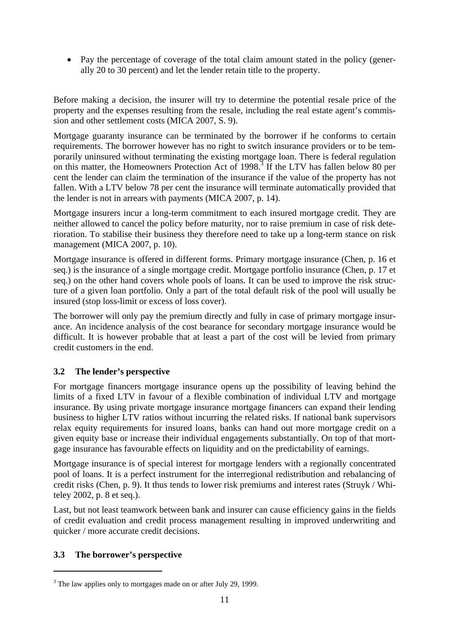• Pay the percentage of coverage of the total claim amount stated in the policy (generally 20 to 30 percent) and let the lender retain title to the property.

Before making a decision, the insurer will try to determine the potential resale price of the property and the expenses resulting from the resale, including the real estate agent's commission and other settlement costs (MICA 2007, S. 9).

Mortgage guaranty insurance can be terminated by the borrower if he conforms to certain requirements. The borrower however has no right to switch insurance providers or to be temporarily uninsured without terminating the existing mortgage loan. There is federal regulation on this matter, the Homeowners Protection Act of 1998.<sup>3</sup> If the LTV has fallen below 80 per cent the lender can claim the termination of the insurance if the value of the property has not fallen. With a LTV below 78 per cent the insurance will terminate automatically provided that the lender is not in arrears with payments (MICA 2007, p. 14).

Mortgage insurers incur a long-term commitment to each insured mortgage credit. They are neither allowed to cancel the policy before maturity, nor to raise premium in case of risk deterioration. To stabilise their business they therefore need to take up a long-term stance on risk management (MICA 2007, p. 10).

Mortgage insurance is offered in different forms. Primary mortgage insurance (Chen, p. 16 et seq.) is the insurance of a single mortgage credit. Mortgage portfolio insurance (Chen, p. 17 et seq.) on the other hand covers whole pools of loans. It can be used to improve the risk structure of a given loan portfolio. Only a part of the total default risk of the pool will usually be insured (stop loss-limit or excess of loss cover).

The borrower will only pay the premium directly and fully in case of primary mortgage insurance. An incidence analysis of the cost bearance for secondary mortgage insurance would be difficult. It is however probable that at least a part of the cost will be levied from primary credit customers in the end.

## **3.2 The lender's perspective**

For mortgage financers mortgage insurance opens up the possibility of leaving behind the limits of a fixed LTV in favour of a flexible combination of individual LTV and mortgage insurance. By using private mortgage insurance mortgage financers can expand their lending business to higher LTV ratios without incurring the related risks. If national bank supervisors relax equity requirements for insured loans, banks can hand out more mortgage credit on a given equity base or increase their individual engagements substantially. On top of that mortgage insurance has favourable effects on liquidity and on the predictability of earnings.

Mortgage insurance is of special interest for mortgage lenders with a regionally concentrated pool of loans. It is a perfect instrument for the interregional redistribution and rebalancing of credit risks (Chen, p. 9). It thus tends to lower risk premiums and interest rates (Struyk / Whiteley 2002, p. 8 et seq.).

Last, but not least teamwork between bank and insurer can cause efficiency gains in the fields of credit evaluation and credit process management resulting in improved underwriting and quicker / more accurate credit decisions.

## **3.3 The borrower's perspective**

 $\overline{a}$ 

 $3$  The law applies only to mortgages made on or after July 29, 1999.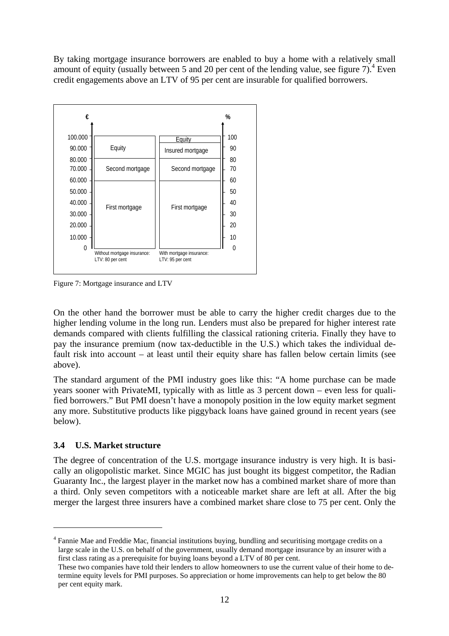By taking mortgage insurance borrowers are enabled to buy a home with a relatively small amount of equity (usually between 5 and 20 per cent of the lending value, see figure  $7$ ).<sup>4</sup> Even credit engagements above an LTV of 95 per cent are insurable for qualified borrowers.



Figure 7: Mortgage insurance and LTV

On the other hand the borrower must be able to carry the higher credit charges due to the higher lending volume in the long run. Lenders must also be prepared for higher interest rate demands compared with clients fulfilling the classical rationing criteria. Finally they have to pay the insurance premium (now tax-deductible in the U.S.) which takes the individual default risk into account – at least until their equity share has fallen below certain limits (see above).

The standard argument of the PMI industry goes like this: "A home purchase can be made years sooner with PrivateMI, typically with as little as 3 percent down – even less for qualified borrowers." But PMI doesn't have a monopoly position in the low equity market segment any more. Substitutive products like piggyback loans have gained ground in recent years (see below).

#### **3.4 U.S. Market structure**

 $\overline{a}$ 

The degree of concentration of the U.S. mortgage insurance industry is very high. It is basically an oligopolistic market. Since MGIC has just bought its biggest competitor, the Radian Guaranty Inc., the largest player in the market now has a combined market share of more than a third. Only seven competitors with a noticeable market share are left at all. After the big merger the largest three insurers have a combined market share close to 75 per cent. Only the

<sup>&</sup>lt;sup>4</sup> Fannie Mae and Freddie Mac, financial institutions buying, bundling and securitising mortgage credits on a large scale in the U.S. on behalf of the government, usually demand mortgage insurance by an insurer with a first class rating as a prerequisite for buying loans beyond a LTV of 80 per cent.

These two companies have told their lenders to allow homeowners to use the current value of their home to determine equity levels for PMI purposes. So appreciation or home improvements can help to get below the 80 per cent equity mark.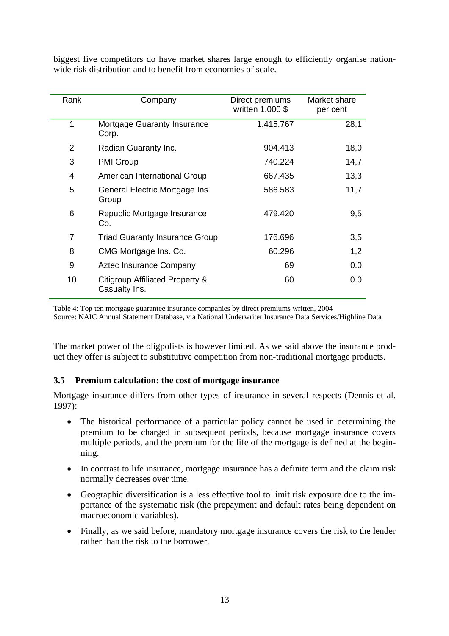biggest five competitors do have market shares large enough to efficiently organise nationwide risk distribution and to benefit from economies of scale.

| Rank | Company                                          | Direct premiums<br>written 1.000 \$ | Market share<br>per cent |
|------|--------------------------------------------------|-------------------------------------|--------------------------|
| 1    | Mortgage Guaranty Insurance<br>Corp.             | 1.415.767                           | 28,1                     |
| 2    | Radian Guaranty Inc.                             | 904.413                             | 18,0                     |
| 3    | <b>PMI Group</b>                                 | 740.224                             | 14,7                     |
| 4    | American International Group                     | 667.435                             | 13,3                     |
| 5    | General Electric Mortgage Ins.<br>Group          | 586.583                             | 11,7                     |
| 6    | Republic Mortgage Insurance<br>Co.               | 479.420                             | 9,5                      |
| 7    | <b>Triad Guaranty Insurance Group</b>            | 176.696                             | 3,5                      |
| 8    | CMG Mortgage Ins. Co.                            | 60.296                              | 1,2                      |
| 9    | Aztec Insurance Company                          | 69                                  | 0.0                      |
| 10   | Citigroup Affiliated Property &<br>Casualty Ins. | 60                                  | 0.0                      |

Table 4: Top ten mortgage guarantee insurance companies by direct premiums written, 2004 Source: NAIC Annual Statement Database, via National Underwriter Insurance Data Services/Highline Data

The market power of the oligpolists is however limited. As we said above the insurance prod-

# uct they offer is subject to substitutive competition from non-traditional mortgage products.

## **3.5 Premium calculation: the cost of mortgage insurance**

Mortgage insurance differs from other types of insurance in several respects (Dennis et al. 1997):

- The historical performance of a particular policy cannot be used in determining the premium to be charged in subsequent periods, because mortgage insurance covers multiple periods, and the premium for the life of the mortgage is defined at the beginning.
- In contrast to life insurance, mortgage insurance has a definite term and the claim risk normally decreases over time.
- Geographic diversification is a less effective tool to limit risk exposure due to the importance of the systematic risk (the prepayment and default rates being dependent on macroeconomic variables).
- Finally, as we said before, mandatory mortgage insurance covers the risk to the lender rather than the risk to the borrower.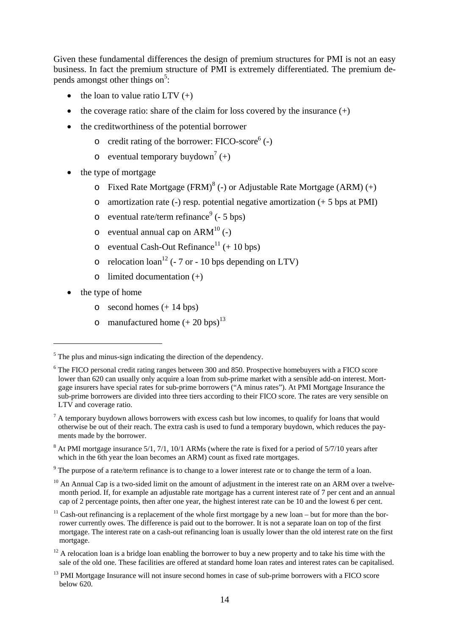Given these fundamental differences the design of premium structures for PMI is not an easy business. In fact the premium structure of PMI is extremely differentiated. The premium depends amongst other things on<sup>5</sup>:

- the loan to value ratio  $LTV (+)$
- the coverage ratio: share of the claim for loss covered by the insurance  $(+)$
- the creditworthiness of the potential borrower
	- $\circ$  credit rating of the borrower: FICO-score<sup>6</sup> (-)
	- o eventual temporary buydown<sup>7</sup> (+)
- the type of mortgage
	- $\circ$  Fixed Rate Mortgage (FRM)<sup>8</sup> (-) or Adjustable Rate Mortgage (ARM) (+)
	- $\circ$  amortization rate (-) resp. potential negative amortization (+ 5 bps at PMI)
	- o eventual rate/term refinance<sup>9</sup> ( $-5$  bps)
	- $\circ$  eventual annual cap on ARM<sup>10</sup> (-)
	- o eventual Cash-Out Refinance<sup>11</sup> (+ 10 bps)
	- $\circ$  relocation loan<sup>12</sup> (- 7 or 10 bps depending on LTV)
	- $\circ$  limited documentation  $(+)$
- the type of home

 $\overline{a}$ 

- $\circ$  second homes  $(+ 14 \text{ bps})$
- o manufactured home  $(+ 20$  bps)<sup>13</sup>

 $9^9$  The purpose of a rate/term refinance is to change to a lower interest rate or to change the term of a loan.

 $<sup>5</sup>$  The plus and minus-sign indicating the direction of the dependency.</sup>

<sup>&</sup>lt;sup>6</sup> The FICO personal credit rating ranges between 300 and 850. Prospective homebuyers with a FICO score lower than 620 can usually only acquire a loan from sub-prime market with a sensible add-on interest. Mortgage insurers have special rates for sub-prime borrowers ("A minus rates"). At PMI Mortgage Insurance the sub-prime borrowers are divided into three tiers according to their FICO score. The rates are very sensible on LTV and coverage ratio.

 $<sup>7</sup>$  A temporary buydown allows borrowers with excess cash but low incomes, to qualify for loans that would</sup> otherwise be out of their reach. The extra cash is used to fund a temporary buydown, which reduces the payments made by the borrower.

 $8$  At PMI mortgage insurance 5/1, 7/1, 10/1 ARMs (where the rate is fixed for a period of 5/7/10 years after which in the 6th year the loan becomes an ARM) count as fixed rate mortgages.

 $10$  An Annual Cap is a two-sided limit on the amount of adjustment in the interest rate on an ARM over a twelvemonth period. If, for example an adjustable rate mortgage has a current interest rate of 7 per cent and an annual cap of 2 percentage points, then after one year, the highest interest rate can be 10 and the lowest 6 per cent.

 $11$  Cash-out refinancing is a replacement of the whole first mortgage by a new loan – but for more than the borrower currently owes. The difference is paid out to the borrower. It is not a separate loan on top of the first mortgage. The interest rate on a cash-out refinancing loan is usually lower than the old interest rate on the first mortgage.

 $12$  A relocation loan is a bridge loan enabling the borrower to buy a new property and to take his time with the sale of the old one. These facilities are offered at standard home loan rates and interest rates can be capitalised.

<sup>&</sup>lt;sup>13</sup> PMI Mortgage Insurance will not insure second homes in case of sub-prime borrowers with a FICO score below 620.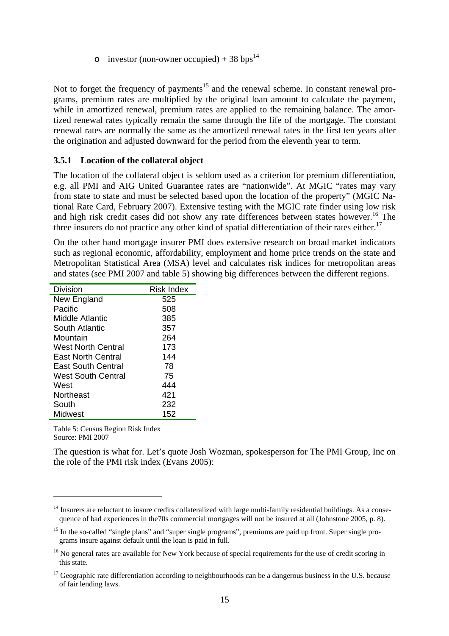o investor (non-owner occupied) + 38 bps<sup>14</sup>

Not to forget the frequency of payments<sup>15</sup> and the renewal scheme. In constant renewal programs, premium rates are multiplied by the original loan amount to calculate the payment, while in amortized renewal, premium rates are applied to the remaining balance. The amortized renewal rates typically remain the same through the life of the mortgage. The constant renewal rates are normally the same as the amortized renewal rates in the first ten years after the origination and adjusted downward for the period from the eleventh year to term.

#### **3.5.1 Location of the collateral object**

The location of the collateral object is seldom used as a criterion for premium differentiation, e.g. all PMI and AIG United Guarantee rates are "nationwide". At MGIC "rates may vary from state to state and must be selected based upon the location of the property" (MGIC National Rate Card, February 2007). Extensive testing with the MGIC rate finder using low risk and high risk credit cases did not show any rate differences between states however.<sup>16</sup> The three insurers do not practice any other kind of spatial differentiation of their rates either.<sup>17</sup>

On the other hand mortgage insurer PMI does extensive research on broad market indicators such as regional economic, affordability, employment and home price trends on the state and Metropolitan Statistical Area (MSA) level and calculates risk indices for metropolitan areas and states (see PMI 2007 and table 5) showing big differences between the different regions.

| Division                  | <b>Risk Index</b> |
|---------------------------|-------------------|
| New England               | 525               |
| Pacific                   | 508               |
| Middle Atlantic           | 385               |
| South Atlantic            | 357               |
| Mountain                  | 264               |
| West North Central        | 173               |
| East North Central        | 144               |
| <b>East South Central</b> | 78                |
| <b>West South Central</b> | 75                |
| West                      | 444               |
| Northeast                 | 421               |
| South                     | 232               |
| Midwest                   | 152               |

Table 5: Census Region Risk Index Source: PMI 2007

 $\overline{a}$ 

The question is what for. Let's quote Josh Wozman, spokesperson for The PMI Group, Inc on the role of the PMI risk index (Evans 2005):

 $14$  Insurers are reluctant to insure credits collateralized with large multi-family residential buildings. As a consequence of bad experiences in the 70s commercial mortgages will not be insured at all (Johnstone 2005, p. 8).

<sup>&</sup>lt;sup>15</sup> In the so-called "single plans" and "super single programs", premiums are paid up front. Super single programs insure against default until the loan is paid in full.

<sup>&</sup>lt;sup>16</sup> No general rates are available for New York because of special requirements for the use of credit scoring in this state.

 $17$  Geographic rate differentiation according to neighbourhoods can be a dangerous business in the U.S. because of fair lending laws.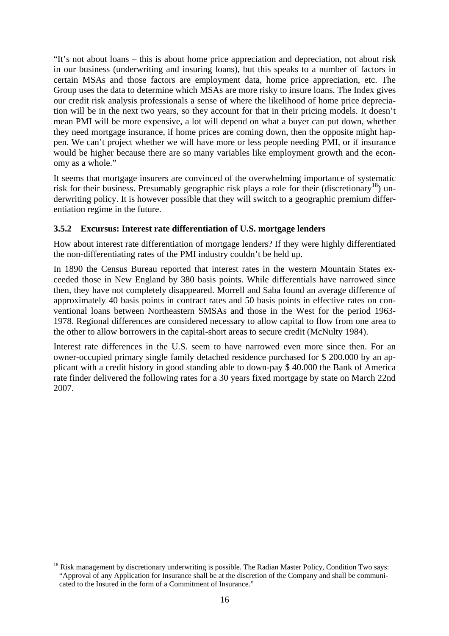"It's not about loans – this is about home price appreciation and depreciation, not about risk in our business (underwriting and insuring loans), but this speaks to a number of factors in certain MSAs and those factors are employment data, home price appreciation, etc. The Group uses the data to determine which MSAs are more risky to insure loans. The Index gives our credit risk analysis professionals a sense of where the likelihood of home price depreciation will be in the next two years, so they account for that in their pricing models. It doesn't mean PMI will be more expensive, a lot will depend on what a buyer can put down, whether they need mortgage insurance, if home prices are coming down, then the opposite might happen. We can't project whether we will have more or less people needing PMI, or if insurance would be higher because there are so many variables like employment growth and the economy as a whole."

It seems that mortgage insurers are convinced of the overwhelming importance of systematic risk for their business. Presumably geographic risk plays a role for their (discretionary<sup>18</sup>) underwriting policy. It is however possible that they will switch to a geographic premium differentiation regime in the future.

#### **3.5.2 Excursus: Interest rate differentiation of U.S. mortgage lenders**

How about interest rate differentiation of mortgage lenders? If they were highly differentiated the non-differentiating rates of the PMI industry couldn't be held up.

In 1890 the Census Bureau reported that interest rates in the western Mountain States exceeded those in New England by 380 basis points. While differentials have narrowed since then, they have not completely disappeared. Morrell and Saba found an average difference of approximately 40 basis points in contract rates and 50 basis points in effective rates on conventional loans between Northeastern SMSAs and those in the West for the period 1963- 1978. Regional differences are considered necessary to allow capital to flow from one area to the other to allow borrowers in the capital-short areas to secure credit (McNulty 1984).

Interest rate differences in the U.S. seem to have narrowed even more since then. For an owner-occupied primary single family detached residence purchased for \$ 200.000 by an applicant with a credit history in good standing able to down-pay \$ 40.000 the Bank of America rate finder delivered the following rates for a 30 years fixed mortgage by state on March 22nd 2007.

 $\overline{a}$ 

<sup>&</sup>lt;sup>18</sup> Risk management by discretionary underwriting is possible. The Radian Master Policy, Condition Two says: "Approval of any Application for Insurance shall be at the discretion of the Company and shall be communicated to the Insured in the form of a Commitment of Insurance."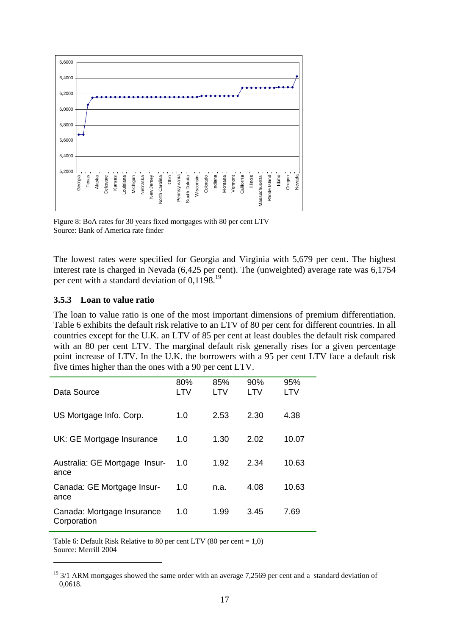

Figure 8: BoA rates for 30 years fixed mortgages with 80 per cent LTV Source: Bank of America rate finder

The lowest rates were specified for Georgia and Virginia with 5,679 per cent. The highest interest rate is charged in Nevada (6,425 per cent). The (unweighted) average rate was 6,1754 per cent with a standard deviation of 0,1198.19

#### **3.5.3 Loan to value ratio**

 $\overline{a}$ 

The loan to value ratio is one of the most important dimensions of premium differentiation. Table 6 exhibits the default risk relative to an LTV of 80 per cent for different countries. In all countries except for the U.K. an LTV of 85 per cent at least doubles the default risk compared with an 80 per cent LTV. The marginal default risk generally rises for a given percentage point increase of LTV. In the U.K. the borrowers with a 95 per cent LTV face a default risk five times higher than the ones with a 90 per cent LTV.

| Data Source                               | 80%<br>LTV | 85%<br>LTV | 90%<br>LTV | 95%<br>LTV |
|-------------------------------------------|------------|------------|------------|------------|
|                                           |            |            |            |            |
| US Mortgage Info. Corp.                   | 1.0        | 2.53       | 2.30       | 4.38       |
| UK: GE Mortgage Insurance                 | 1.0        | 1.30       | 2.02       | 10.07      |
| Australia: GE Mortgage Insur-<br>ance     | 1.0        | 1.92       | 2.34       | 10.63      |
| Canada: GE Mortgage Insur-<br>ance        | 1.0        | n.a.       | 4.08       | 10.63      |
| Canada: Mortgage Insurance<br>Corporation | 1.0        | 1.99       | 3.45       | 7.69       |

Table 6: Default Risk Relative to 80 per cent LTV (80 per cent =  $1,0$ ) Source: Merrill 2004

<sup>&</sup>lt;sup>19</sup> 3/1 ARM mortgages showed the same order with an average 7,2569 per cent and a standard deviation of 0,0618.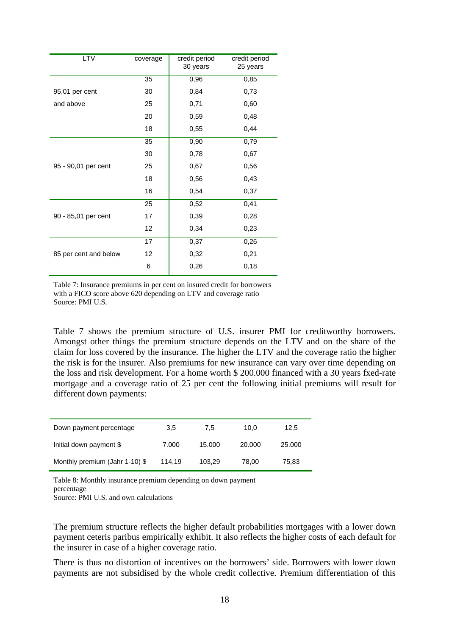| <b>LTV</b>            | coverage | credit period<br>30 years | credit period<br>25 years |
|-----------------------|----------|---------------------------|---------------------------|
|                       | 35       | 0,96                      | 0,85                      |
| 95,01 per cent        | 30       | 0,84                      | 0,73                      |
| and above             | 25       | 0,71                      | 0,60                      |
|                       | 20       | 0,59                      | 0,48                      |
|                       | 18       | 0,55                      | 0,44                      |
|                       | 35       | 0,90                      | 0,79                      |
|                       | 30       | 0,78                      | 0,67                      |
| 95 - 90,01 per cent   | 25       | 0,67                      | 0,56                      |
|                       | 18       | 0,56                      | 0,43                      |
|                       | 16       | 0,54                      | 0,37                      |
|                       | 25       | 0,52                      | 0,41                      |
| 90 - 85,01 per cent   | 17       | 0,39                      | 0,28                      |
|                       | 12       | 0,34                      | 0,23                      |
|                       | 17       | 0,37                      | 0,26                      |
| 85 per cent and below | 12       | 0,32                      | 0,21                      |
|                       | 6        | 0,26                      | 0,18                      |

Table 7: Insurance premiums in per cent on insured credit for borrowers with a FICO score above 620 depending on LTV and coverage ratio Source: PMI U.S.

Table 7 shows the premium structure of U.S. insurer PMI for creditworthy borrowers. Amongst other things the premium structure depends on the LTV and on the share of the claim for loss covered by the insurance. The higher the LTV and the coverage ratio the higher the risk is for the insurer. Also premiums for new insurance can vary over time depending on the loss and risk development. For a home worth \$ 200.000 financed with a 30 years fxed-rate mortgage and a coverage ratio of 25 per cent the following initial premiums will result for different down payments:

| Down payment percentage        | 3,5    | 7.5    | 10.0   | 12.5   |
|--------------------------------|--------|--------|--------|--------|
| Initial down payment \$        | 7.000  | 15.000 | 20,000 | 25,000 |
| Monthly premium (Jahr 1-10) \$ | 114.19 | 103.29 | 78.00  | 75,83  |

Table 8: Monthly insurance premium depending on down payment percentage

Source: PMI U.S. and own calculations

The premium structure reflects the higher default probabilities mortgages with a lower down payment ceteris paribus empirically exhibit. It also reflects the higher costs of each default for the insurer in case of a higher coverage ratio.

There is thus no distortion of incentives on the borrowers' side. Borrowers with lower down payments are not subsidised by the whole credit collective. Premium differentiation of this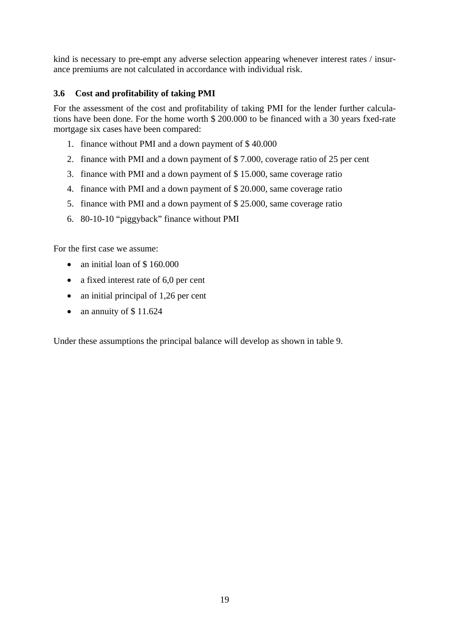kind is necessary to pre-empt any adverse selection appearing whenever interest rates / insurance premiums are not calculated in accordance with individual risk.

#### **3.6 Cost and profitability of taking PMI**

For the assessment of the cost and profitability of taking PMI for the lender further calculations have been done. For the home worth \$ 200.000 to be financed with a 30 years fxed-rate mortgage six cases have been compared:

- 1. finance without PMI and a down payment of \$ 40.000
- 2. finance with PMI and a down payment of \$ 7.000, coverage ratio of 25 per cent
- 3. finance with PMI and a down payment of \$ 15.000, same coverage ratio
- 4. finance with PMI and a down payment of \$ 20.000, same coverage ratio
- 5. finance with PMI and a down payment of \$ 25.000, same coverage ratio
- 6. 80-10-10 "piggyback" finance without PMI

For the first case we assume:

- an initial loan of \$160.000
- a fixed interest rate of 6,0 per cent
- an initial principal of 1,26 per cent
- an annuity of  $$11.624$

Under these assumptions the principal balance will develop as shown in table 9.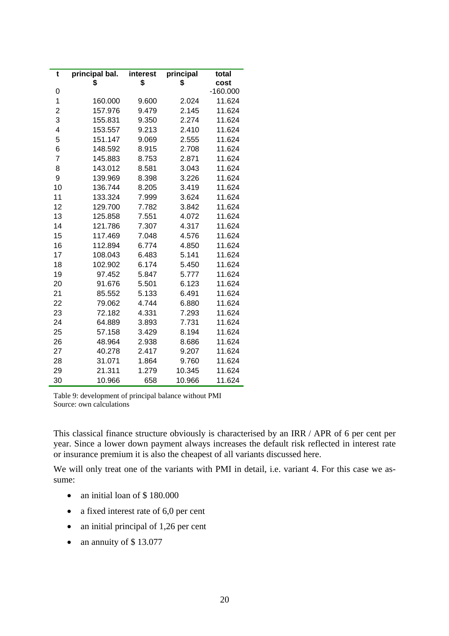| t              | principal bal. | interest | principal | total      |
|----------------|----------------|----------|-----------|------------|
|                | \$             | \$       | \$        | cost       |
| 0              |                |          |           | $-160.000$ |
| 1              | 160.000        | 9.600    | 2.024     | 11.624     |
| $\overline{c}$ | 157.976        | 9.479    | 2.145     | 11.624     |
| 3              | 155.831        | 9.350    | 2.274     | 11.624     |
| 4              | 153.557        | 9.213    | 2.410     | 11.624     |
| 5              | 151.147        | 9.069    | 2.555     | 11.624     |
| 6              | 148.592        | 8.915    | 2.708     | 11.624     |
| $\overline{7}$ | 145.883        | 8.753    | 2.871     | 11.624     |
| 8              | 143.012        | 8.581    | 3.043     | 11.624     |
| 9              | 139.969        | 8.398    | 3.226     | 11.624     |
| 10             | 136.744        | 8.205    | 3.419     | 11.624     |
| 11             | 133.324        | 7.999    | 3.624     | 11.624     |
| 12             | 129.700        | 7.782    | 3.842     | 11.624     |
| 13             | 125.858        | 7.551    | 4.072     | 11.624     |
| 14             | 121.786        | 7.307    | 4.317     | 11.624     |
| 15             | 117.469        | 7.048    | 4.576     | 11.624     |
| 16             | 112.894        | 6.774    | 4.850     | 11.624     |
| 17             | 108.043        | 6.483    | 5.141     | 11.624     |
| 18             | 102.902        | 6.174    | 5.450     | 11.624     |
| 19             | 97.452         | 5.847    | 5.777     | 11.624     |
| 20             | 91.676         | 5.501    | 6.123     | 11.624     |
| 21             | 85.552         | 5.133    | 6.491     | 11.624     |
| 22             | 79.062         | 4.744    | 6.880     | 11.624     |
| 23             | 72.182         | 4.331    | 7.293     | 11.624     |
| 24             | 64.889         | 3.893    | 7.731     | 11.624     |
| 25             | 57.158         | 3.429    | 8.194     | 11.624     |
| 26             | 48.964         | 2.938    | 8.686     | 11.624     |
| 27             | 40.278         | 2.417    | 9.207     | 11.624     |
| 28             | 31.071         | 1.864    | 9.760     | 11.624     |
| 29             | 21.311         | 1.279    | 10.345    | 11.624     |
| 30             | 10.966         | 658      | 10.966    | 11.624     |

Table 9: development of principal balance without PMI Source: own calculations

This classical finance structure obviously is characterised by an IRR / APR of 6 per cent per year. Since a lower down payment always increases the default risk reflected in interest rate or insurance premium it is also the cheapest of all variants discussed here.

We will only treat one of the variants with PMI in detail, i.e. variant 4. For this case we assume:

- an initial loan of \$180.000
- a fixed interest rate of 6,0 per cent
- an initial principal of 1,26 per cent
- an annuity of \$13.077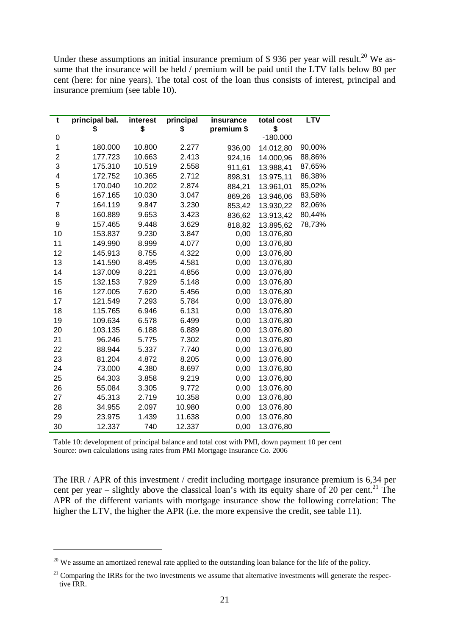Under these assumptions an initial insurance premium of  $$ 936$  per year will result.<sup>20</sup> We assume that the insurance will be held / premium will be paid until the LTV falls below 80 per cent (here: for nine years). The total cost of the loan thus consists of interest, principal and insurance premium (see table 10).

| t              | principal bal. | interest | principal | insurance  | total cost | <b>LTV</b> |
|----------------|----------------|----------|-----------|------------|------------|------------|
|                | \$             | \$       | \$        | premium \$ | \$         |            |
| 0              |                |          |           |            | $-180.000$ |            |
| 1              | 180.000        | 10.800   | 2.277     | 936,00     | 14.012,80  | 90,00%     |
| $\overline{2}$ | 177.723        | 10.663   | 2.413     | 924,16     | 14.000,96  | 88,86%     |
| 3              | 175.310        | 10.519   | 2.558     | 911,61     | 13.988,41  | 87,65%     |
| 4              | 172.752        | 10.365   | 2.712     | 898,31     | 13.975,11  | 86,38%     |
| 5              | 170.040        | 10.202   | 2.874     | 884,21     | 13.961,01  | 85,02%     |
| 6              | 167.165        | 10.030   | 3.047     | 869,26     | 13.946,06  | 83,58%     |
| $\overline{7}$ | 164.119        | 9.847    | 3.230     | 853,42     | 13.930,22  | 82,06%     |
| 8              | 160.889        | 9.653    | 3.423     | 836,62     | 13.913,42  | 80,44%     |
| 9              | 157.465        | 9.448    | 3.629     | 818,82     | 13.895,62  | 78,73%     |
| 10             | 153.837        | 9.230    | 3.847     | 0,00       | 13.076,80  |            |
| 11             | 149.990        | 8.999    | 4.077     | 0,00       | 13.076,80  |            |
| 12             | 145.913        | 8.755    | 4.322     | 0,00       | 13.076,80  |            |
| 13             | 141.590        | 8.495    | 4.581     | 0,00       | 13.076,80  |            |
| 14             | 137.009        | 8.221    | 4.856     | 0,00       | 13.076,80  |            |
| 15             | 132.153        | 7.929    | 5.148     | 0,00       | 13.076,80  |            |
| 16             | 127.005        | 7.620    | 5.456     | 0,00       | 13.076,80  |            |
| 17             | 121.549        | 7.293    | 5.784     | 0,00       | 13.076,80  |            |
| 18             | 115.765        | 6.946    | 6.131     | 0,00       | 13.076,80  |            |
| 19             | 109.634        | 6.578    | 6.499     | 0,00       | 13.076,80  |            |
| 20             | 103.135        | 6.188    | 6.889     | 0,00       | 13.076,80  |            |
| 21             | 96.246         | 5.775    | 7.302     | 0,00       | 13.076,80  |            |
| 22             | 88.944         | 5.337    | 7.740     | 0,00       | 13.076,80  |            |
| 23             | 81.204         | 4.872    | 8.205     | 0,00       | 13.076,80  |            |
| 24             | 73.000         | 4.380    | 8.697     | 0,00       | 13.076,80  |            |
| 25             | 64.303         | 3.858    | 9.219     | 0,00       | 13.076,80  |            |
| 26             | 55.084         | 3.305    | 9.772     | 0,00       | 13.076,80  |            |
| 27             | 45.313         | 2.719    | 10.358    | 0,00       | 13.076,80  |            |
| 28             | 34.955         | 2.097    | 10.980    | 0,00       | 13.076,80  |            |
| 29             | 23.975         | 1.439    | 11.638    | 0,00       | 13.076,80  |            |
| 30             | 12.337         | 740      | 12.337    | 0,00       | 13.076,80  |            |

Table 10: development of principal balance and total cost with PMI, down payment 10 per cent Source: own calculations using rates from PMI Mortgage Insurance Co. 2006

The IRR / APR of this investment / credit including mortgage insurance premium is 6,34 per cent per year – slightly above the classical loan's with its equity share of 20 per cent.<sup>21</sup> The APR of the different variants with mortgage insurance show the following correlation: The higher the LTV, the higher the APR (i.e. the more expensive the credit, see table 11).

 $\overline{a}$ 

 $^{20}$  We assume an amortized renewal rate applied to the outstanding loan balance for the life of the policy.

 $21$  Comparing the IRRs for the two investments we assume that alternative investments will generate the respective IRR.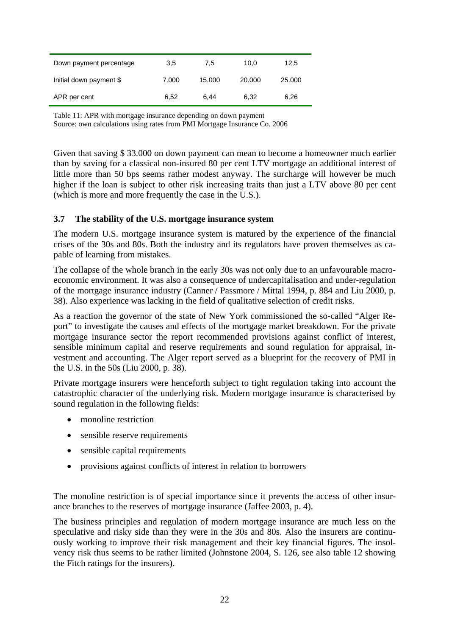| Down payment percentage | 3.5   | 7.5    | 10.0   | 12,5   |
|-------------------------|-------|--------|--------|--------|
| Initial down payment \$ | 7.000 | 15.000 | 20.000 | 25,000 |
| APR per cent            | 6.52  | 6.44   | 6.32   | 6.26   |

Table 11: APR with mortgage insurance depending on down payment Source: own calculations using rates from PMI Mortgage Insurance Co. 2006

Given that saving \$ 33.000 on down payment can mean to become a homeowner much earlier than by saving for a classical non-insured 80 per cent LTV mortgage an additional interest of little more than 50 bps seems rather modest anyway. The surcharge will however be much higher if the loan is subject to other risk increasing traits than just a LTV above 80 per cent (which is more and more frequently the case in the U.S.).

#### **3.7 The stability of the U.S. mortgage insurance system**

The modern U.S. mortgage insurance system is matured by the experience of the financial crises of the 30s and 80s. Both the industry and its regulators have proven themselves as capable of learning from mistakes.

The collapse of the whole branch in the early 30s was not only due to an unfavourable macroeconomic environment. It was also a consequence of undercapitalisation and under-regulation of the mortgage insurance industry (Canner / Passmore / Mittal 1994, p. 884 and Liu 2000, p. 38). Also experience was lacking in the field of qualitative selection of credit risks.

As a reaction the governor of the state of New York commissioned the so-called "Alger Report" to investigate the causes and effects of the mortgage market breakdown. For the private mortgage insurance sector the report recommended provisions against conflict of interest, sensible minimum capital and reserve requirements and sound regulation for appraisal, investment and accounting. The Alger report served as a blueprint for the recovery of PMI in the U.S. in the 50s (Liu 2000, p. 38).

Private mortgage insurers were henceforth subject to tight regulation taking into account the catastrophic character of the underlying risk. Modern mortgage insurance is characterised by sound regulation in the following fields:

- monoline restriction
- sensible reserve requirements
- sensible capital requirements
- provisions against conflicts of interest in relation to borrowers

The monoline restriction is of special importance since it prevents the access of other insurance branches to the reserves of mortgage insurance (Jaffee 2003, p. 4).

The business principles and regulation of modern mortgage insurance are much less on the speculative and risky side than they were in the 30s and 80s. Also the insurers are continuously working to improve their risk management and their key financial figures. The insolvency risk thus seems to be rather limited (Johnstone 2004, S. 126, see also table 12 showing the Fitch ratings for the insurers).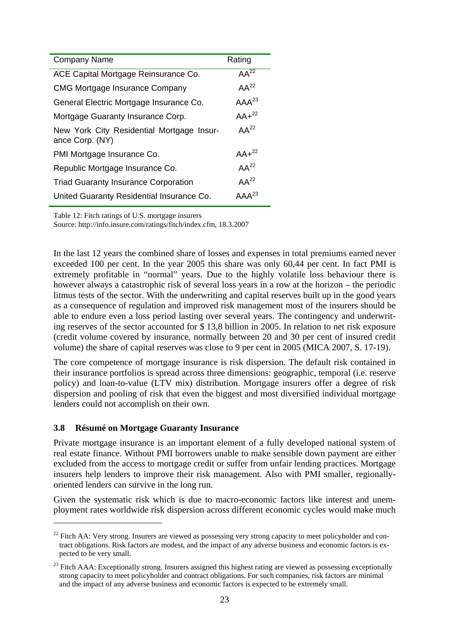| <b>Company Name</b>                                          | Rating     |
|--------------------------------------------------------------|------------|
| ACE Capital Mortgage Reinsurance Co.                         | $AA^{22}$  |
| <b>CMG Mortgage Insurance Company</b>                        | $AA^{22}$  |
| General Electric Mortgage Insurance Co.                      | $AAA^{23}$ |
| Mortgage Guaranty Insurance Corp.                            | $AA+^{22}$ |
| New York City Residential Mortgage Insur-<br>ance Corp. (NY) | $AA^{22}$  |
| PMI Mortgage Insurance Co.                                   | $AA+^{22}$ |
| Republic Mortgage Insurance Co.                              | $AA^{22}$  |
| <b>Triad Guaranty Insurance Corporation</b>                  | $AA^{22}$  |
| United Guaranty Residential Insurance Co.                    | $AAA^{23}$ |
|                                                              |            |

Table 12: Fitch ratings of U.S. mortgage insurers

Source: http://info.insure.com/ratings/fitch/index.cfm, 18.3.2007

In the last 12 years the combined share of losses and expenses in total premiums earned never exceeded 100 per cent. In the year 2005 this share was only 60,44 per cent. In fact PMI is extremely profitable in "normal" years. Due to the highly volatile loss behaviour there is however always a catastrophic risk of several loss years in a row at the horizon – the periodic litmus tests of the sector. With the underwriting and capital reserves built up in the good years as a consequence of regulation and improved risk management most of the insurers should be able to endure even a loss period lasting over several years. The contingency and underwriting reserves of the sector accounted for \$ 13,8 billion in 2005. In relation to net risk exposure (credit volume covered by insurance, normally between 20 and 30 per cent of insured credit volume) the share of capital reserves was close to 9 per cent in 2005 (MICA 2007, S. 17-19).

The core competence of mortgage insurance is risk dispersion. The default risk contained in their insurance portfolios is spread across three dimensions: geographic, temporal (i.e. reserve policy) and loan-to-value (LTV mix) distribution. Mortgage insurers offer a degree of risk dispersion and pooling of risk that even the biggest and most diversified individual mortgage lenders could not accomplish on their own.

#### **3.8 Résumé on Mortgage Guaranty Insurance**

 $\overline{a}$ 

Private mortgage insurance is an important element of a fully developed national system of real estate finance. Without PMI borrowers unable to make sensible down payment are either excluded from the access to mortgage credit or suffer from unfair lending practices. Mortgage insurers help lenders to improve their risk management. Also with PMI smaller, regionallyoriented lenders can survive in the long run.

Given the systematic risk which is due to macro-economic factors like interest and unemployment rates worldwide risk dispersion across different economic cycles would make much

 $^{22}$  Fitch AA: Very strong. Insurers are viewed as possessing very strong capacity to meet policyholder and contract obligations. Risk factors are modest, and the impact of any adverse business and economic factors is expected to be very small.

<sup>&</sup>lt;sup>23</sup> Fitch AAA: Exceptionally strong. Insurers assigned this highest rating are viewed as possessing exceptionally strong capacity to meet policyholder and contract obligations. For such companies, risk factors are minimal and the impact of any adverse business and economic factors is expected to be extremely small.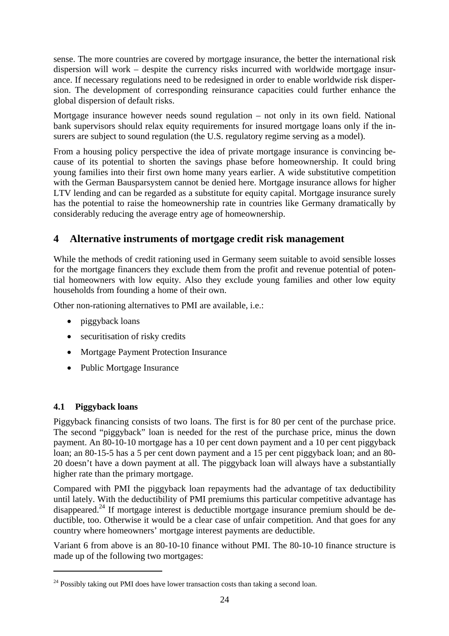sense. The more countries are covered by mortgage insurance, the better the international risk dispersion will work – despite the currency risks incurred with worldwide mortgage insurance. If necessary regulations need to be redesigned in order to enable worldwide risk dispersion. The development of corresponding reinsurance capacities could further enhance the global dispersion of default risks.

Mortgage insurance however needs sound regulation – not only in its own field. National bank supervisors should relax equity requirements for insured mortgage loans only if the insurers are subject to sound regulation (the U.S. regulatory regime serving as a model).

From a housing policy perspective the idea of private mortgage insurance is convincing because of its potential to shorten the savings phase before homeownership. It could bring young families into their first own home many years earlier. A wide substitutive competition with the German Bausparsystem cannot be denied here. Mortgage insurance allows for higher LTV lending and can be regarded as a substitute for equity capital. Mortgage insurance surely has the potential to raise the homeownership rate in countries like Germany dramatically by considerably reducing the average entry age of homeownership.

# **4 Alternative instruments of mortgage credit risk management**

While the methods of credit rationing used in Germany seem suitable to avoid sensible losses for the mortgage financers they exclude them from the profit and revenue potential of potential homeowners with low equity. Also they exclude young families and other low equity households from founding a home of their own.

Other non-rationing alternatives to PMI are available, i.e.:

- piggyback loans
- securitisation of risky credits
- Mortgage Payment Protection Insurance
- Public Mortgage Insurance

#### **4.1 Piggyback loans**

 $\overline{a}$ 

Piggyback financing consists of two loans. The first is for 80 per cent of the purchase price. The second "piggyback" loan is needed for the rest of the purchase price, minus the down payment. An 80-10-10 mortgage has a 10 per cent down payment and a 10 per cent piggyback loan; an 80-15-5 has a 5 per cent down payment and a 15 per cent piggyback loan; and an 80- 20 doesn't have a down payment at all. The piggyback loan will always have a substantially higher rate than the primary mortgage.

Compared with PMI the piggyback loan repayments had the advantage of tax deductibility until lately. With the deductibility of PMI premiums this particular competitive advantage has disappeared.24 If mortgage interest is deductible mortgage insurance premium should be deductible, too. Otherwise it would be a clear case of unfair competition. And that goes for any country where homeowners' mortgage interest payments are deductible.

Variant 6 from above is an 80-10-10 finance without PMI. The 80-10-10 finance structure is made up of the following two mortgages:

 $24$  Possibly taking out PMI does have lower transaction costs than taking a second loan.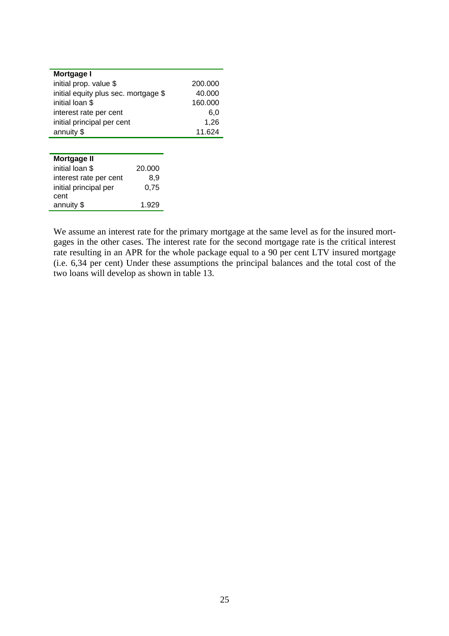| Mortgage I                           |         |
|--------------------------------------|---------|
| initial prop. value \$               | 200.000 |
| initial equity plus sec. mortgage \$ | 40.000  |
| initial loan \$                      | 160.000 |
| interest rate per cent               | 6.0     |
| initial principal per cent           | 1.26    |
| annuity \$                           | 11.624  |

| Mortgage II            |        |
|------------------------|--------|
| initial loan \$        | 20.000 |
| interest rate per cent | 8.9    |
| initial principal per  | 0.75   |
| cent                   |        |
| annuity \$             | 1.929  |

j,

We assume an interest rate for the primary mortgage at the same level as for the insured mortgages in the other cases. The interest rate for the second mortgage rate is the critical interest rate resulting in an APR for the whole package equal to a 90 per cent LTV insured mortgage (i.e. 6,34 per cent) Under these assumptions the principal balances and the total cost of the two loans will develop as shown in table 13.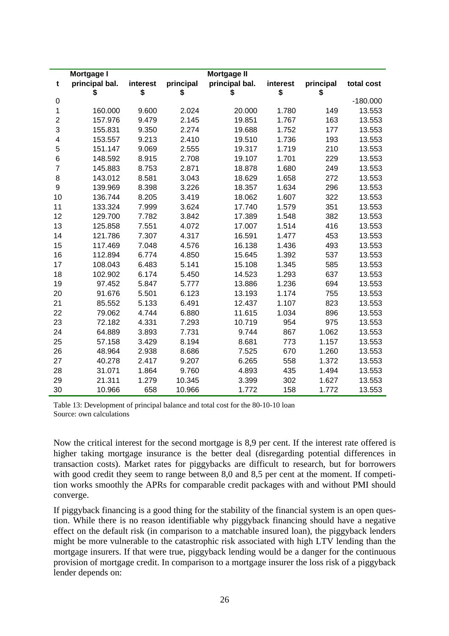|                | Mortgage I     |          |           | <b>Mortgage II</b> |          |           |            |
|----------------|----------------|----------|-----------|--------------------|----------|-----------|------------|
| t              | principal bal. | interest | principal | principal bal.     | interest | principal | total cost |
|                | \$             | \$       | \$        | \$                 | \$       | \$        |            |
| 0              |                |          |           |                    |          |           | $-180.000$ |
| 1              | 160.000        | 9.600    | 2.024     | 20.000             | 1.780    | 149       | 13.553     |
| $\overline{2}$ | 157.976        | 9.479    | 2.145     | 19.851             | 1.767    | 163       | 13.553     |
| 3              | 155.831        | 9.350    | 2.274     | 19.688             | 1.752    | 177       | 13.553     |
| 4              | 153.557        | 9.213    | 2.410     | 19.510             | 1.736    | 193       | 13.553     |
| 5              | 151.147        | 9.069    | 2.555     | 19.317             | 1.719    | 210       | 13.553     |
| 6              | 148.592        | 8.915    | 2.708     | 19.107             | 1.701    | 229       | 13.553     |
| $\overline{7}$ | 145.883        | 8.753    | 2.871     | 18.878             | 1.680    | 249       | 13.553     |
| 8              | 143.012        | 8.581    | 3.043     | 18.629             | 1.658    | 272       | 13.553     |
| 9              | 139.969        | 8.398    | 3.226     | 18.357             | 1.634    | 296       | 13.553     |
| 10             | 136.744        | 8.205    | 3.419     | 18.062             | 1.607    | 322       | 13.553     |
| 11             | 133.324        | 7.999    | 3.624     | 17.740             | 1.579    | 351       | 13.553     |
| 12             | 129.700        | 7.782    | 3.842     | 17.389             | 1.548    | 382       | 13.553     |
| 13             | 125.858        | 7.551    | 4.072     | 17.007             | 1.514    | 416       | 13.553     |
| 14             | 121.786        | 7.307    | 4.317     | 16.591             | 1.477    | 453       | 13.553     |
| 15             | 117.469        | 7.048    | 4.576     | 16.138             | 1.436    | 493       | 13.553     |
| 16             | 112.894        | 6.774    | 4.850     | 15.645             | 1.392    | 537       | 13.553     |
| 17             | 108.043        | 6.483    | 5.141     | 15.108             | 1.345    | 585       | 13.553     |
| 18             | 102.902        | 6.174    | 5.450     | 14.523             | 1.293    | 637       | 13.553     |
| 19             | 97.452         | 5.847    | 5.777     | 13.886             | 1.236    | 694       | 13.553     |
| 20             | 91.676         | 5.501    | 6.123     | 13.193             | 1.174    | 755       | 13.553     |
| 21             | 85.552         | 5.133    | 6.491     | 12.437             | 1.107    | 823       | 13.553     |
| 22             | 79.062         | 4.744    | 6.880     | 11.615             | 1.034    | 896       | 13.553     |
| 23             | 72.182         | 4.331    | 7.293     | 10.719             | 954      | 975       | 13.553     |
| 24             | 64.889         | 3.893    | 7.731     | 9.744              | 867      | 1.062     | 13.553     |
| 25             | 57.158         | 3.429    | 8.194     | 8.681              | 773      | 1.157     | 13.553     |
| 26             | 48.964         | 2.938    | 8.686     | 7.525              | 670      | 1.260     | 13.553     |
| 27             | 40.278         | 2.417    | 9.207     | 6.265              | 558      | 1.372     | 13.553     |
| 28             | 31.071         | 1.864    | 9.760     | 4.893              | 435      | 1.494     | 13.553     |
| 29             | 21.311         | 1.279    | 10.345    | 3.399              | 302      | 1.627     | 13.553     |
| 30             | 10.966         | 658      | 10.966    | 1.772              | 158      | 1.772     | 13.553     |

Table 13: Development of principal balance and total cost for the 80-10-10 loan Source: own calculations

Now the critical interest for the second mortgage is 8,9 per cent. If the interest rate offered is higher taking mortgage insurance is the better deal (disregarding potential differences in transaction costs). Market rates for piggybacks are difficult to research, but for borrowers with good credit they seem to range between 8,0 and 8,5 per cent at the moment. If competition works smoothly the APRs for comparable credit packages with and without PMI should converge.

If piggyback financing is a good thing for the stability of the financial system is an open question. While there is no reason identifiable why piggyback financing should have a negative effect on the default risk (in comparison to a matchable insured loan), the piggyback lenders might be more vulnerable to the catastrophic risk associated with high LTV lending than the mortgage insurers. If that were true, piggyback lending would be a danger for the continuous provision of mortgage credit. In comparison to a mortgage insurer the loss risk of a piggyback lender depends on: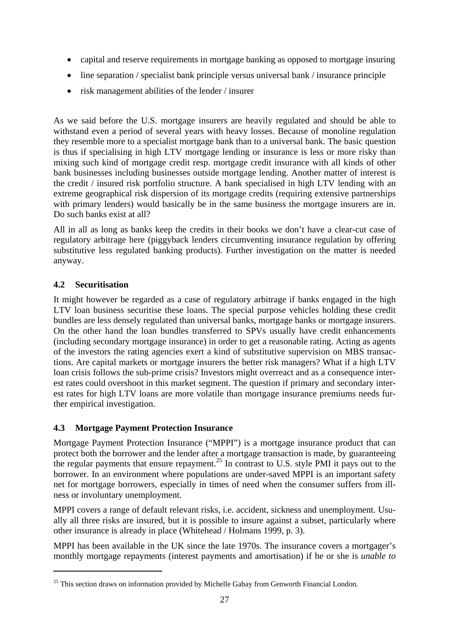- capital and reserve requirements in mortgage banking as opposed to mortgage insuring
- line separation / specialist bank principle versus universal bank / insurance principle
- risk management abilities of the lender / insurer

As we said before the U.S. mortgage insurers are heavily regulated and should be able to withstand even a period of several years with heavy losses. Because of monoline regulation they resemble more to a specialist mortgage bank than to a universal bank. The basic question is thus if specialising in high LTV mortgage lending or insurance is less or more risky than mixing such kind of mortgage credit resp. mortgage credit insurance with all kinds of other bank businesses including businesses outside mortgage lending. Another matter of interest is the credit / insured risk portfolio structure. A bank specialised in high LTV lending with an extreme geographical risk dispersion of its mortgage credits (requiring extensive partnerships with primary lenders) would basically be in the same business the mortgage insurers are in. Do such banks exist at all?

All in all as long as banks keep the credits in their books we don't have a clear-cut case of regulatory arbitrage here (piggyback lenders circumventing insurance regulation by offering substitutive less regulated banking products). Further investigation on the matter is needed anyway.

#### **4.2 Securitisation**

 $\overline{a}$ 

It might however be regarded as a case of regulatory arbitrage if banks engaged in the high LTV loan business securitise these loans. The special purpose vehicles holding these credit bundles are less densely regulated than universal banks, mortgage banks or mortgage insurers. On the other hand the loan bundles transferred to SPVs usually have credit enhancements (including secondary mortgage insurance) in order to get a reasonable rating. Acting as agents of the investors the rating agencies exert a kind of substitutive supervision on MBS transactions. Are capital markets or mortgage insurers the better risk managers? What if a high LTV loan crisis follows the sub-prime crisis? Investors might overreact and as a consequence interest rates could overshoot in this market segment. The question if primary and secondary interest rates for high LTV loans are more volatile than mortgage insurance premiums needs further empirical investigation.

## **4.3 Mortgage Payment Protection Insurance**

Mortgage Payment Protection Insurance ("MPPI") is a mortgage insurance product that can protect both the borrower and the lender after a mortgage transaction is made, by guaranteeing the regular payments that ensure repayment.<sup>25</sup> In contrast to U.S. style PMI it pays out to the borrower. In an environment where populations are under-saved MPPI is an important safety net for mortgage borrowers, especially in times of need when the consumer suffers from illness or involuntary unemployment.

MPPI covers a range of default relevant risks, i.e. accident, sickness and unemployment. Usually all three risks are insured, but it is possible to insure against a subset, particularly where other insurance is already in place (Whitehead / Holmans 1999, p. 3).

MPPI has been available in the UK since the late 1970s. The insurance covers a mortgager's monthly mortgage repayments (interest payments and amortisation) if he or she is *unable to* 

 $25$  This section draws on information provided by Michelle Gabay from Genworth Financial London.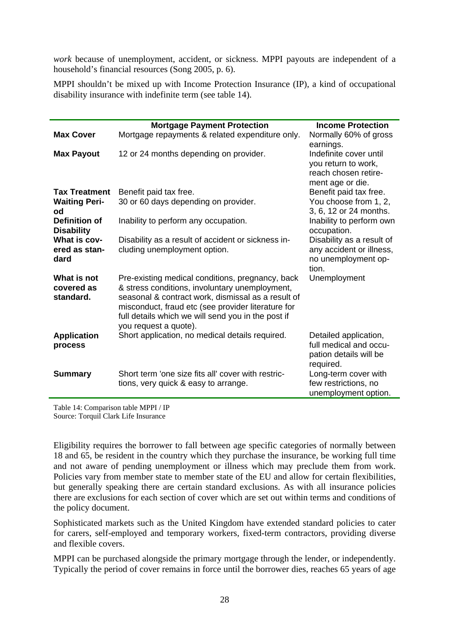*work* because of unemployment, accident, or sickness. MPPI payouts are independent of a household's financial resources (Song 2005, p. 6).

MPPI shouldn't be mixed up with Income Protection Insurance (IP), a kind of occupational disability insurance with indefinite term (see table 14).

|                                        | <b>Mortgage Payment Protection</b>                                                                                                                                                                                                                                                            | <b>Income Protection</b>                                                                  |
|----------------------------------------|-----------------------------------------------------------------------------------------------------------------------------------------------------------------------------------------------------------------------------------------------------------------------------------------------|-------------------------------------------------------------------------------------------|
| <b>Max Cover</b>                       | Mortgage repayments & related expenditure only.                                                                                                                                                                                                                                               | Normally 60% of gross<br>earnings.                                                        |
| <b>Max Payout</b>                      | 12 or 24 months depending on provider.                                                                                                                                                                                                                                                        | Indefinite cover until<br>you return to work,<br>reach chosen retire-<br>ment age or die. |
| <b>Tax Treatment</b>                   | Benefit paid tax free.                                                                                                                                                                                                                                                                        | Benefit paid tax free.                                                                    |
| <b>Waiting Peri-</b><br>od             | 30 or 60 days depending on provider.                                                                                                                                                                                                                                                          | You choose from 1, 2,<br>3, 6, 12 or 24 months.                                           |
| Definition of<br><b>Disability</b>     | Inability to perform any occupation.                                                                                                                                                                                                                                                          | Inability to perform own<br>occupation.                                                   |
| What is cov-<br>ered as stan-<br>dard  | Disability as a result of accident or sickness in-<br>cluding unemployment option.                                                                                                                                                                                                            | Disability as a result of<br>any accident or illness,<br>no unemployment op-<br>tion.     |
| What is not<br>covered as<br>standard. | Pre-existing medical conditions, pregnancy, back<br>& stress conditions, involuntary unemployment,<br>seasonal & contract work, dismissal as a result of<br>misconduct, fraud etc (see provider literature for<br>full details which we will send you in the post if<br>you request a quote). | Unemployment                                                                              |
| <b>Application</b><br>process          | Short application, no medical details required.                                                                                                                                                                                                                                               | Detailed application,<br>full medical and occu-<br>pation details will be<br>required.    |
| <b>Summary</b>                         | Short term 'one size fits all' cover with restric-<br>tions, very quick & easy to arrange.                                                                                                                                                                                                    | Long-term cover with<br>few restrictions, no<br>unemployment option.                      |

Table 14: Comparison table MPPI / IP Source: Torquil Clark Life Insurance

Eligibility requires the borrower to fall between age specific categories of normally between 18 and 65, be resident in the country which they purchase the insurance, be working full time and not aware of pending unemployment or illness which may preclude them from work. Policies vary from member state to member state of the EU and allow for certain flexibilities, but generally speaking there are certain standard exclusions. As with all insurance policies there are exclusions for each section of cover which are set out within terms and conditions of the policy document.

Sophisticated markets such as the United Kingdom have extended standard policies to cater for carers, self-employed and temporary workers, fixed-term contractors, providing diverse and flexible covers.

MPPI can be purchased alongside the primary mortgage through the lender, or independently. Typically the period of cover remains in force until the borrower dies, reaches 65 years of age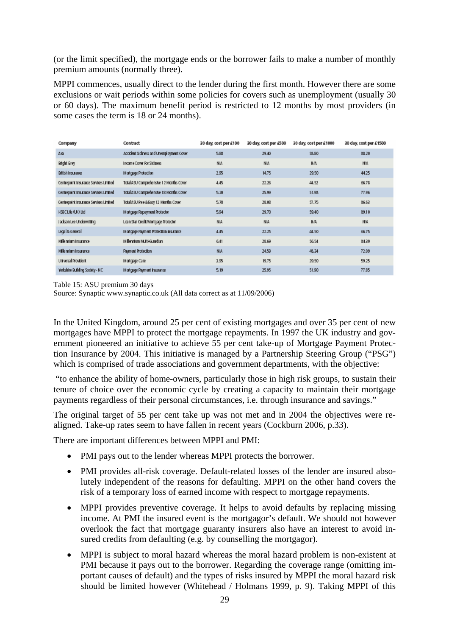(or the limit specified), the mortgage ends or the borrower fails to make a number of monthly premium amounts (normally three).

MPPI commences, usually direct to the lender during the first month. However there are some exclusions or wait periods within some policies for covers such as unemployment (usually 30 or 60 days). The maximum benefit period is restricted to 12 months by most providers (in some cases the term is 18 or 24 months).

| Company                                | Contract                                 | 30 day, cost per £100 | 30 day, cost per £500 | 30 day, cost per £1000 | 30 day, cost per £1500 |
|----------------------------------------|------------------------------------------|-----------------------|-----------------------|------------------------|------------------------|
| Axa                                    | Accident Sickness and Unemployment Cover | 5.88                  | 29.40                 | 58.80                  | 88.20                  |
| <b>Bright Grey</b>                     | Income Cover For Sickness                | <b>N/A</b>            | <b>N/A</b>            | <b>HIA</b>             | <b>N/A</b>             |
| British Insurance                      | Mortgage Protection                      | 2.95                  | 1475                  | 29.50                  | 44.25                  |
| Centrepoint Insurance Services Limited | Total ASU Comprehensive 12 Months Cover  | 4.45                  | 22.26                 | 44.52                  | 66.78                  |
| Centrepoint Insurance Services Limited | Total ASU Comprehensive 18 Months Cover  | 5.20                  | 25.99                 | 51.98                  | 77.96                  |
| Centrepoint Insurance Services Limited | Total ASU Ree & Easy 12 Months Cover     | 5.78                  | 28.08                 | 57.75                  | 86.63                  |
| HSBC LIfe (UK) LId                     | Mortgage Repayment Protector             | 5.94                  | 29.70                 | 59.40                  | 89.10                  |
| Jackson Lee Underwriting               | Loan Star Credit/Mortgage Protector      | <b>NA</b>             | <b>N/A</b>            | <b>HIA</b>             | <b>N/A</b>             |
| Legal & General                        | Mortgage Payment Protection Insurance    | 4.45                  | 22.25                 | 44.50                  | 66.75                  |
| Milennium Insurance                    | Millennium Multi-Guardian                | 6.41                  | 28.69                 | 56.54                  | 8439                   |
| Milennium Insurance                    | <b>Payment Protection</b>                | <b>N/A</b>            | 2459                  | 48.34                  | 72.09                  |
| Universal Provident                    | Mortgage Care                            | 3.95                  | 19.75                 | 39.50                  | 59.25                  |
| Yorkshire Building Society - NC        | Mortgage Payment Insurance               | 5.19                  | 25.95                 | 51.90                  | 77.85                  |

Table 15: ASU premium 30 days

Source: Synaptic www.synaptic.co.uk (All data correct as at 11/09/2006)

In the United Kingdom, around 25 per cent of existing mortgages and over 35 per cent of new mortgages have MPPI to protect the mortgage repayments. In 1997 the UK industry and government pioneered an initiative to achieve 55 per cent take-up of Mortgage Payment Protection Insurance by 2004. This initiative is managed by a Partnership Steering Group ("PSG") which is comprised of trade associations and government departments, with the objective:

 "to enhance the ability of home-owners, particularly those in high risk groups, to sustain their tenure of choice over the economic cycle by creating a capacity to maintain their mortgage payments regardless of their personal circumstances, i.e. through insurance and savings."

The original target of 55 per cent take up was not met and in 2004 the objectives were realigned. Take-up rates seem to have fallen in recent years (Cockburn 2006, p.33).

There are important differences between MPPI and PMI:

- PMI pays out to the lender whereas MPPI protects the borrower.
- PMI provides all-risk coverage. Default-related losses of the lender are insured absolutely independent of the reasons for defaulting. MPPI on the other hand covers the risk of a temporary loss of earned income with respect to mortgage repayments.
- MPPI provides preventive coverage. It helps to avoid defaults by replacing missing income. At PMI the insured event is the mortgagor's default. We should not however overlook the fact that mortgage guaranty insurers also have an interest to avoid insured credits from defaulting (e.g. by counselling the mortgagor).
- MPPI is subject to moral hazard whereas the moral hazard problem is non-existent at PMI because it pays out to the borrower. Regarding the coverage range (omitting important causes of default) and the types of risks insured by MPPI the moral hazard risk should be limited however (Whitehead / Holmans 1999, p. 9). Taking MPPI of this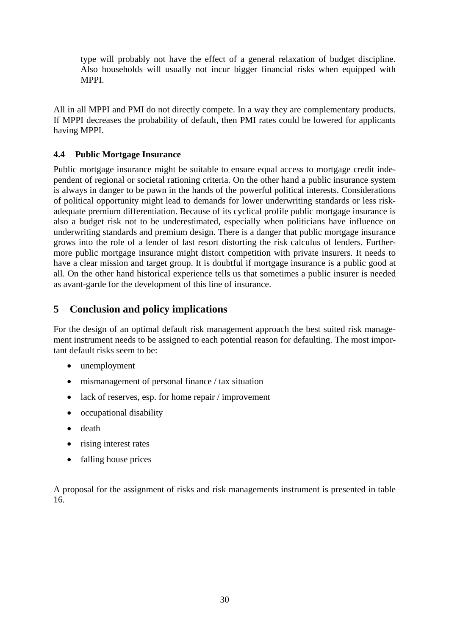type will probably not have the effect of a general relaxation of budget discipline. Also households will usually not incur bigger financial risks when equipped with MPPI.

All in all MPPI and PMI do not directly compete. In a way they are complementary products. If MPPI decreases the probability of default, then PMI rates could be lowered for applicants having MPPI.

### **4.4 Public Mortgage Insurance**

Public mortgage insurance might be suitable to ensure equal access to mortgage credit independent of regional or societal rationing criteria. On the other hand a public insurance system is always in danger to be pawn in the hands of the powerful political interests. Considerations of political opportunity might lead to demands for lower underwriting standards or less riskadequate premium differentiation. Because of its cyclical profile public mortgage insurance is also a budget risk not to be underestimated, especially when politicians have influence on underwriting standards and premium design. There is a danger that public mortgage insurance grows into the role of a lender of last resort distorting the risk calculus of lenders. Furthermore public mortgage insurance might distort competition with private insurers. It needs to have a clear mission and target group. It is doubtful if mortgage insurance is a public good at all. On the other hand historical experience tells us that sometimes a public insurer is needed as avant-garde for the development of this line of insurance.

# **5 Conclusion and policy implications**

For the design of an optimal default risk management approach the best suited risk management instrument needs to be assigned to each potential reason for defaulting. The most important default risks seem to be:

- unemployment
- mismanagement of personal finance / tax situation
- lack of reserves, esp. for home repair / improvement
- occupational disability
- death
- rising interest rates
- falling house prices

A proposal for the assignment of risks and risk managements instrument is presented in table 16.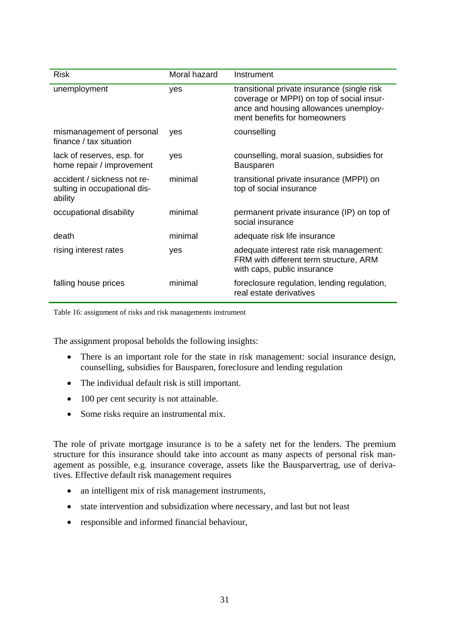| <b>Risk</b>                                                            | Moral hazard | Instrument                                                                                                                                                        |
|------------------------------------------------------------------------|--------------|-------------------------------------------------------------------------------------------------------------------------------------------------------------------|
| unemployment                                                           | <b>ves</b>   | transitional private insurance (single risk<br>coverage or MPPI) on top of social insur-<br>ance and housing allowances unemploy-<br>ment benefits for homeowners |
| mismanagement of personal<br>finance / tax situation                   | <b>ves</b>   | counselling                                                                                                                                                       |
| lack of reserves, esp. for<br>home repair / improvement                | yes          | counselling, moral suasion, subsidies for<br><b>Bausparen</b>                                                                                                     |
| accident / sickness not re-<br>sulting in occupational dis-<br>ability | minimal      | transitional private insurance (MPPI) on<br>top of social insurance                                                                                               |
| occupational disability                                                | minimal      | permanent private insurance (IP) on top of<br>social insurance                                                                                                    |
| death                                                                  | minimal      | adequate risk life insurance                                                                                                                                      |
| rising interest rates                                                  | yes          | adequate interest rate risk management:<br>FRM with different term structure, ARM<br>with caps, public insurance                                                  |
| falling house prices                                                   | minimal      | foreclosure regulation, lending regulation,<br>real estate derivatives                                                                                            |

Table 16: assignment of risks and risk managements instrument

The assignment proposal beholds the following insights:

- There is an important role for the state in risk management: social insurance design, counselling, subsidies for Bausparen, foreclosure and lending regulation
- The individual default risk is still important.
- 100 per cent security is not attainable.
- Some risks require an instrumental mix.

The role of private mortgage insurance is to be a safety net for the lenders. The premium structure for this insurance should take into account as many aspects of personal risk management as possible, e.g. insurance coverage, assets like the Bausparvertrag, use of derivatives. Effective default risk management requires

- an intelligent mix of risk management instruments,
- state intervention and subsidization where necessary, and last but not least
- responsible and informed financial behaviour,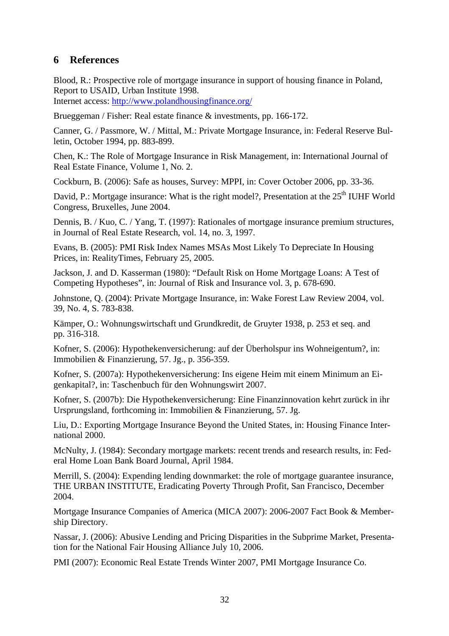## **6 References**

Blood, R.: Prospective role of mortgage insurance in support of housing finance in Poland, Report to USAID, Urban Institute 1998.

Internet access: http://www.polandhousingfinance.org/

Brueggeman / Fisher: Real estate finance & investments, pp. 166-172.

Canner, G. / Passmore, W. / Mittal, M.: Private Mortgage Insurance, in: Federal Reserve Bulletin, October 1994, pp. 883-899.

Chen, K.: The Role of Mortgage Insurance in Risk Management, in: International Journal of Real Estate Finance, Volume 1, No. 2.

Cockburn, B. (2006): Safe as houses, Survey: MPPI, in: Cover October 2006, pp. 33-36.

David, P.: Mortgage insurance: What is the right model?, Presentation at the 25<sup>th</sup> IUHF World Congress, Bruxelles, June 2004.

Dennis, B. / Kuo, C. / Yang, T. (1997): Rationales of mortgage insurance premium structures, in Journal of Real Estate Research, vol. 14, no. 3, 1997.

Evans, B. (2005): PMI Risk Index Names MSAs Most Likely To Depreciate In Housing Prices, in: RealityTimes, February 25, 2005.

Jackson, J. and D. Kasserman (1980): "Default Risk on Home Mortgage Loans: A Test of Competing Hypotheses", in: Journal of Risk and Insurance vol. 3, p. 678-690.

Johnstone, Q. (2004): Private Mortgage Insurance, in: Wake Forest Law Review 2004, vol. 39, No. 4, S. 783-838.

Kämper, O.: Wohnungswirtschaft und Grundkredit, de Gruyter 1938, p. 253 et seq. and pp. 316-318.

Kofner, S. (2006): Hypothekenversicherung: auf der Überholspur ins Wohneigentum?, in: Immobilien & Finanzierung, 57. Jg., p. 356-359.

Kofner, S. (2007a): Hypothekenversicherung: Ins eigene Heim mit einem Minimum an Eigenkapital?, in: Taschenbuch für den Wohnungswirt 2007.

Kofner, S. (2007b): Die Hypothekenversicherung: Eine Finanzinnovation kehrt zurück in ihr Ursprungsland, forthcoming in: Immobilien & Finanzierung, 57. Jg.

Liu, D.: Exporting Mortgage Insurance Beyond the United States, in: Housing Finance International 2000.

McNulty, J. (1984): Secondary mortgage markets: recent trends and research results, in: Federal Home Loan Bank Board Journal, April 1984.

Merrill, S. (2004): Expending lending downmarket: the role of mortgage guarantee insurance, THE URBAN INSTITUTE, Eradicating Poverty Through Profit, San Francisco, December 2004.

Mortgage Insurance Companies of America (MICA 2007): 2006-2007 Fact Book & Membership Directory.

Nassar, J. (2006): Abusive Lending and Pricing Disparities in the Subprime Market, Presentation for the National Fair Housing Alliance July 10, 2006.

PMI (2007): Economic Real Estate Trends Winter 2007, PMI Mortgage Insurance Co.